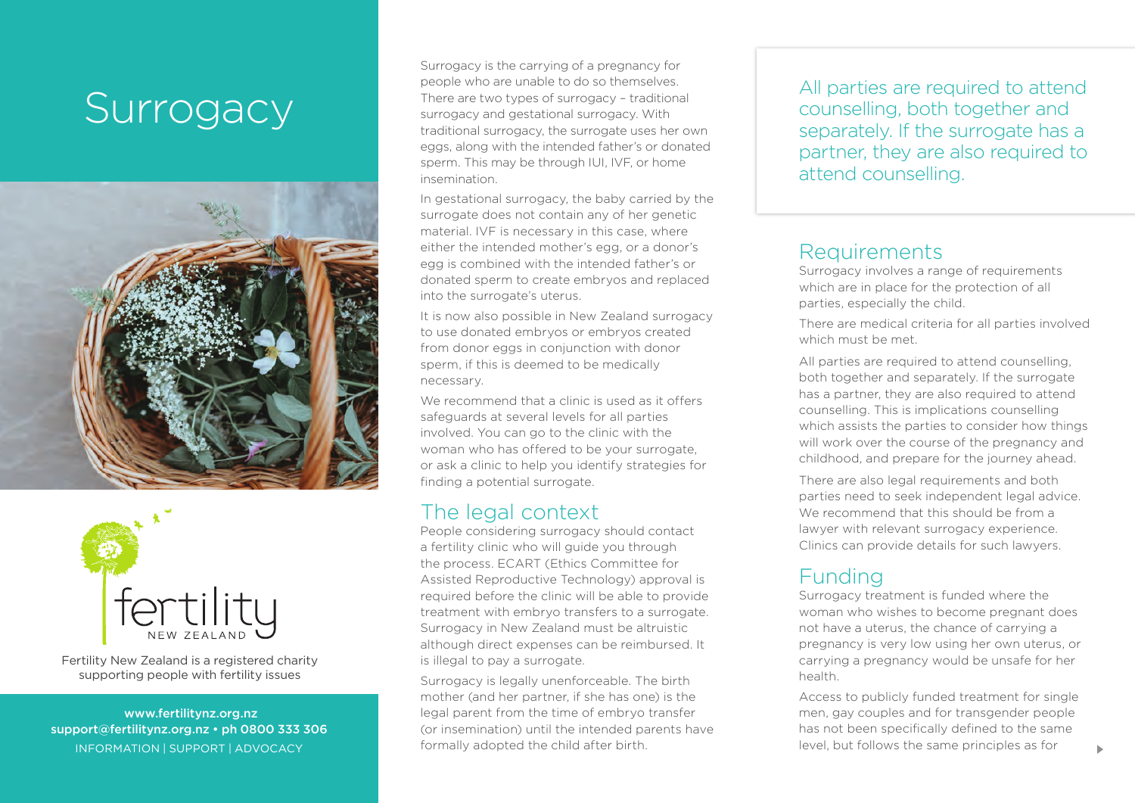# Surrogacy





Fertility New Zealand is a registered charity supporting people with fertility issues

 www.fertilitynz.org.nz support@fertilitynz.org.nz • ph 0800 333 306 inf ormation | support | advocacy

Surrogacy is the carrying of a pregnancy for people who are unable to do so themselves. There are two types of surrogacy – traditional surrogacy and gestational surrogacy. With traditional surrogacy, the surrogate uses her own eggs, along with the intended father's or donated sperm. This may be through IUI, IVF, or home insemination.

In gestational surrogacy, the baby carried by the surrogate does not contain any of her genetic material. IVF is necessary in this case, where either the intended mother's egg, or a donor's egg is combined with the intended father's or donated sperm to create embryos and replaced into the surrogate's uterus.

It is now also possible in New Zealand surrogacy to use donated embryos or embryos created from donor eggs in conjunction with donor sperm, if this is deemed to be medically necessary.

We recommend that a clinic is used as it offers safeguards at several levels for all parties involved. You can go to the clinic with the woman who has offered to be your surrogate, or ask a clinic to help you identify strategies for finding a potential surrogate.

### The legal context

People considering surrogacy should contact a fertility clinic who will guide you through the process. ECART (Ethics Committee for Assisted Reproductive Technology) approval is required before the clinic will be able to provide treatment with embryo transfers to a surrogate. Surrogacy in New Zealand must be altruistic although direct expenses can be reimbursed. It is illegal to pay a surrogate.

Surrogacy is legally unenforceable. The birth mother (and her partner, if she has one) is the legal parent from the time of embryo transfer (or insemination) until the intended parents have formally adopted the child after birth.

All parties are required to attend counselling, both together and separately. If the surrogate has a partner, they are also required to attend counselling.

#### Requirements

Surrogacy involves a range of requirements which are in place for the protection of all parties, especially the child.

There are medical criteria for all parties involved which must be met.

All parties are required to attend counselling, both together and separately. If the surrogate has a partner, they are also required to attend counselling. This is implications counselling which assists the parties to consider how things will work over the course of the pregnancy and childhood, and prepare for the journey ahead.

There are also legal requirements and both parties need to seek independent legal advice. We recommend that this should be from a lawyer with relevant surrogacy experience. Clinics can provide details for such lawyers.

## Funding

Surrogacy treatment is funded where the woman who wishes to become pregnant does not have a uterus, the chance of carrying a pregnancy is very low using her own uterus, or carrying a pregnancy would be unsafe for her health.

Access to publicly funded treatment for single men, gay couples and for transgender people has not been specifically defined to the same level, but follows the same principles as for <sup>3</sup>